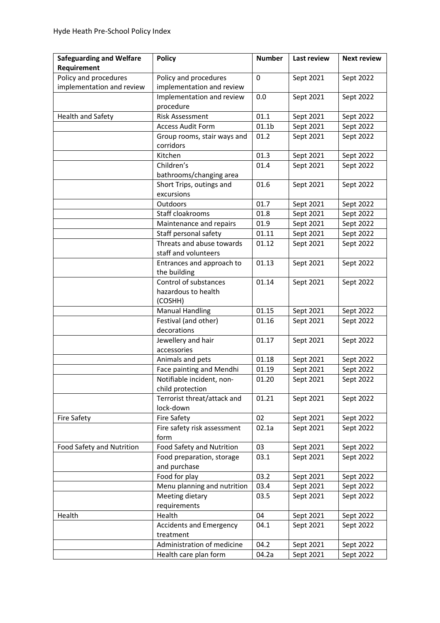| <b>Safeguarding and Welfare</b>                    | <b>Policy</b>                                           | <b>Number</b>     | <b>Last review</b> | <b>Next review</b> |
|----------------------------------------------------|---------------------------------------------------------|-------------------|--------------------|--------------------|
| Requirement                                        |                                                         |                   |                    |                    |
| Policy and procedures<br>implementation and review | Policy and procedures<br>implementation and review      | 0                 | Sept 2021          | Sept 2022          |
|                                                    | Implementation and review<br>procedure                  | 0.0               | Sept 2021          | Sept 2022          |
| Health and Safety                                  | <b>Risk Assessment</b>                                  | 01.1              | Sept 2021          | Sept 2022          |
|                                                    | <b>Access Audit Form</b>                                | 01.1 <sub>b</sub> | Sept 2021          | Sept 2022          |
|                                                    | Group rooms, stair ways and<br>corridors                | 01.2              | Sept 2021          | Sept 2022          |
|                                                    | Kitchen                                                 | 01.3              | Sept 2021          | Sept 2022          |
|                                                    | Children's                                              | 01.4              | Sept 2021          | Sept 2022          |
|                                                    | bathrooms/changing area                                 |                   |                    |                    |
|                                                    | Short Trips, outings and<br>excursions                  | 01.6              | Sept 2021          | Sept 2022          |
|                                                    | Outdoors                                                | 01.7              | Sept 2021          | Sept 2022          |
|                                                    | Staff cloakrooms                                        | 01.8              | Sept 2021          | Sept 2022          |
|                                                    | Maintenance and repairs                                 | 01.9              | Sept 2021          | Sept 2022          |
|                                                    | Staff personal safety                                   | 01.11             | Sept 2021          | Sept 2022          |
|                                                    | Threats and abuse towards<br>staff and volunteers       | 01.12             | Sept 2021          | Sept 2022          |
|                                                    | Entrances and approach to<br>the building               | 01.13             | Sept 2021          | Sept 2022          |
|                                                    | Control of substances<br>hazardous to health<br>(COSHH) | 01.14             | Sept 2021          | Sept 2022          |
|                                                    | <b>Manual Handling</b>                                  | 01.15             | Sept 2021          | Sept 2022          |
|                                                    | Festival (and other)<br>decorations                     | 01.16             | Sept 2021          | Sept 2022          |
|                                                    | Jewellery and hair<br>accessories                       | 01.17             | Sept 2021          | Sept 2022          |
|                                                    | Animals and pets                                        | 01.18             | Sept 2021          | Sept 2022          |
|                                                    | Face painting and Mendhi                                | 01.19             | Sept 2021          | Sept 2022          |
|                                                    | Notifiable incident, non-<br>child protection           | 01.20             | Sept 2021          | Sept 2022          |
|                                                    | Terrorist threat/attack and<br>lock-down                | 01.21             | Sept 2021          | Sept 2022          |
| Fire Safety                                        | <b>Fire Safety</b>                                      | 02                | Sept 2021          | Sept 2022          |
|                                                    | Fire safety risk assessment                             | 02.1a             | Sept 2021          | Sept 2022          |
|                                                    | form                                                    |                   |                    |                    |
| Food Safety and Nutrition                          | Food Safety and Nutrition                               | 03                | Sept 2021          | Sept 2022          |
|                                                    | Food preparation, storage<br>and purchase               | 03.1              | Sept 2021          | Sept 2022          |
|                                                    | Food for play                                           | 03.2              | Sept 2021          | Sept 2022          |
|                                                    | Menu planning and nutrition                             | 03.4              | Sept 2021          | Sept 2022          |
|                                                    | Meeting dietary<br>requirements                         | 03.5              | Sept 2021          | Sept 2022          |
| Health                                             | Health                                                  | 04                | Sept 2021          | Sept 2022          |
|                                                    | <b>Accidents and Emergency</b><br>treatment             | 04.1              | Sept 2021          | Sept 2022          |
|                                                    | Administration of medicine                              | 04.2              | Sept 2021          | Sept 2022          |
|                                                    | Health care plan form                                   | 04.2a             | Sept 2021          | Sept 2022          |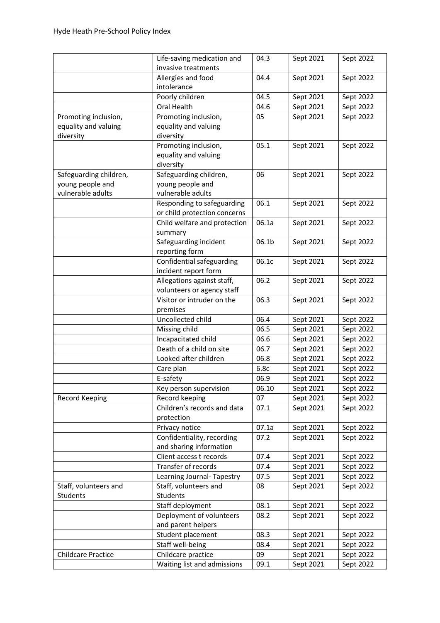|                        | Life-saving medication and<br>invasive treatments | 04.3  | Sept 2021 | Sept 2022 |
|------------------------|---------------------------------------------------|-------|-----------|-----------|
|                        | Allergies and food                                | 04.4  | Sept 2021 | Sept 2022 |
|                        | intolerance                                       |       |           |           |
|                        | Poorly children                                   | 04.5  | Sept 2021 | Sept 2022 |
|                        | Oral Health                                       | 04.6  | Sept 2021 | Sept 2022 |
| Promoting inclusion,   | Promoting inclusion,                              | 05    | Sept 2021 | Sept 2022 |
| equality and valuing   | equality and valuing                              |       |           |           |
|                        |                                                   |       |           |           |
| diversity              | diversity                                         |       |           |           |
|                        | Promoting inclusion,                              | 05.1  | Sept 2021 | Sept 2022 |
|                        | equality and valuing                              |       |           |           |
|                        | diversity                                         |       |           |           |
| Safeguarding children, | Safeguarding children,                            | 06    | Sept 2021 | Sept 2022 |
| young people and       | young people and                                  |       |           |           |
| vulnerable adults      | vulnerable adults                                 |       |           |           |
|                        | Responding to safeguarding                        | 06.1  | Sept 2021 | Sept 2022 |
|                        | or child protection concerns                      |       |           |           |
|                        | Child welfare and protection                      | 06.1a | Sept 2021 | Sept 2022 |
|                        | summary                                           |       |           |           |
|                        | Safeguarding incident                             | 06.1b | Sept 2021 | Sept 2022 |
|                        | reporting form                                    |       |           |           |
|                        | Confidential safeguarding                         | 06.1c | Sept 2021 | Sept 2022 |
|                        | incident report form                              |       |           |           |
|                        | Allegations against staff,                        | 06.2  | Sept 2021 | Sept 2022 |
|                        | volunteers or agency staff                        |       |           |           |
|                        | Visitor or intruder on the                        | 06.3  | Sept 2021 | Sept 2022 |
|                        | premises                                          |       |           |           |
|                        | Uncollected child                                 | 06.4  | Sept 2021 | Sept 2022 |
|                        | Missing child                                     | 06.5  | Sept 2021 | Sept 2022 |
|                        | Incapacitated child                               | 06.6  | Sept 2021 | Sept 2022 |
|                        | Death of a child on site                          | 06.7  | Sept 2021 | Sept 2022 |
|                        | Looked after children                             | 06.8  | Sept 2021 | Sept 2022 |
|                        | Care plan                                         | 6.8c  | Sept 2021 | Sept 2022 |
|                        | E-safety                                          | 06.9  | Sept 2021 | Sept 2022 |
|                        | Key person supervision                            | 06.10 | Sept 2021 | Sept 2022 |
|                        | Record keeping                                    | 07    |           |           |
| Record Keeping         |                                                   |       | Sept 2021 | Sept 2022 |
|                        | Children's records and data                       | 07.1  | Sept 2021 | Sept 2022 |
|                        | protection                                        |       |           |           |
|                        | Privacy notice                                    | 07.1a | Sept 2021 | Sept 2022 |
|                        | Confidentiality, recording                        | 07.2  | Sept 2021 | Sept 2022 |
|                        | and sharing information                           |       |           |           |
|                        | Client access t records                           | 07.4  | Sept 2021 | Sept 2022 |
|                        | Transfer of records                               | 07.4  | Sept 2021 | Sept 2022 |
|                        | Learning Journal- Tapestry                        | 07.5  | Sept 2021 | Sept 2022 |
| Staff, volunteers and  | Staff, volunteers and                             | 08    | Sept 2021 | Sept 2022 |
| Students               | Students                                          |       |           |           |
|                        | Staff deployment                                  | 08.1  | Sept 2021 | Sept 2022 |
|                        | Deployment of volunteers                          | 08.2  | Sept 2021 | Sept 2022 |
|                        | and parent helpers                                |       |           |           |
|                        | Student placement                                 | 08.3  | Sept 2021 | Sept 2022 |
|                        | Staff well-being                                  | 08.4  | Sept 2021 | Sept 2022 |
| Childcare Practice     | Childcare practice                                | 09    | Sept 2021 | Sept 2022 |
|                        | Waiting list and admissions                       | 09.1  | Sept 2021 | Sept 2022 |